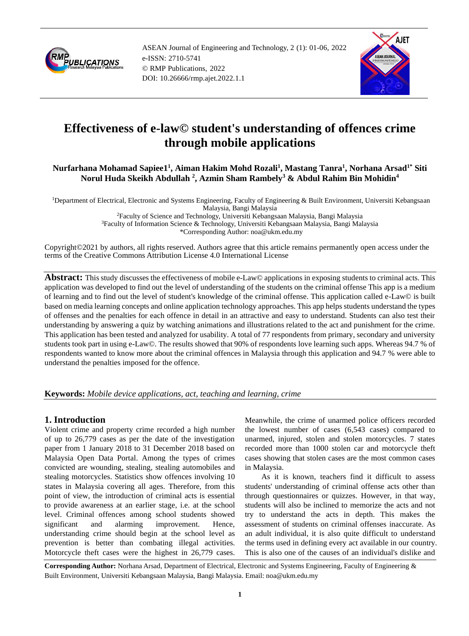

ASEAN Journal of Engineering and Technology, 2 (1): 01-06, 2022 e-ISSN: 2710-5741 © RMP Publications, 2022 DOI: 10.26666/rmp.ajet.2022.1.1



# **Effectiveness of e-law© student's understanding of offences crime through mobile applications**

## **Nurfarhana Mohamad Sapiee1<sup>1</sup> , Aiman Hakim Mohd Rozali<sup>1</sup> , Mastang Tanra<sup>1</sup> , Norhana Arsad1\* Siti Norul Huda Skeikh Abdullah <sup>2</sup> , Azmin Sham Rambely<sup>3</sup> & Abdul Rahim Bin Mohidin<sup>4</sup>**

<sup>1</sup>Department of Electrical, Electronic and Systems Engineering, Faculty of Engineering & Built Environment, Universiti Kebangsaan Malaysia, Bangi Malaysia <sup>2</sup>Faculty of Science and Technology, Universiti Kebangsaan Malaysia, Bangi Malaysia <sup>3</sup>Faculty of Information Science & Technology, Universiti Kebangsaan Malaysia, Bangi Malaysia \*Corresponding Author: noa@ukm.edu.my

Copyright©2021 by authors, all rights reserved. Authors agree that this article remains permanently open access under the terms of the Creative Commons Attribution License 4.0 International License

**Abstract:** This study discusses the effectiveness of mobile e-Law© applications in exposing students to criminal acts. This application was developed to find out the level of understanding of the students on the criminal offense This app is a medium of learning and to find out the level of student's knowledge of the criminal offense. This application called e-Law© is built based on media learning concepts and online application technology approaches. This app helps students understand the types of offenses and the penalties for each offence in detail in an attractive and easy to understand. Students can also test their understanding by answering a quiz by watching animations and illustrations related to the act and punishment for the crime. This application has been tested and analyzed for usability. A total of 77 respondents from primary, secondary and university students took part in using e-Law©. The results showed that 90% of respondents love learning such apps. Whereas 94.7 % of respondents wanted to know more about the criminal offences in Malaysia through this application and 94.7 % were able to understand the penalties imposed for the offence.

**Keywords:** *Mobile device applications, act, teaching and learning, crime*

# **1. Introduction**

Violent crime and property crime recorded a high number of up to 26,779 cases as per the date of the investigation paper from 1 January 2018 to 31 December 2018 based on Malaysia Open Data Portal. Among the types of crimes convicted are wounding, stealing, stealing automobiles and stealing motorcycles. Statistics show offences involving 10 states in Malaysia covering all ages. Therefore, from this point of view, the introduction of criminal acts is essential to provide awareness at an earlier stage, i.e. at the school level. Criminal offences among school students showed significant and alarming improvement. Hence, understanding crime should begin at the school level as prevention is better than combating illegal activities. Motorcycle theft cases were the highest in 26,779 cases.

Meanwhile, the crime of unarmed police officers recorded the lowest number of cases (6,543 cases) compared to unarmed, injured, stolen and stolen motorcycles. 7 states recorded more than 1000 stolen car and motorcycle theft cases showing that stolen cases are the most common cases in Malaysia.

As it is known, teachers find it difficult to assess students' understanding of criminal offense acts other than through questionnaires or quizzes. However, in that way, students will also be inclined to memorize the acts and not try to understand the acts in depth. This makes the assessment of students on criminal offenses inaccurate. As an adult individual, it is also quite difficult to understand the terms used in defining every act available in our country. This is also one of the causes of an individual's dislike and

**Corresponding Author:** Norhana Arsad, Department of Electrical, Electronic and Systems Engineering, Faculty of Engineering & Built Environment, Universiti Kebangsaan Malaysia, Bangi Malaysia. Email: noa@ukm.edu.my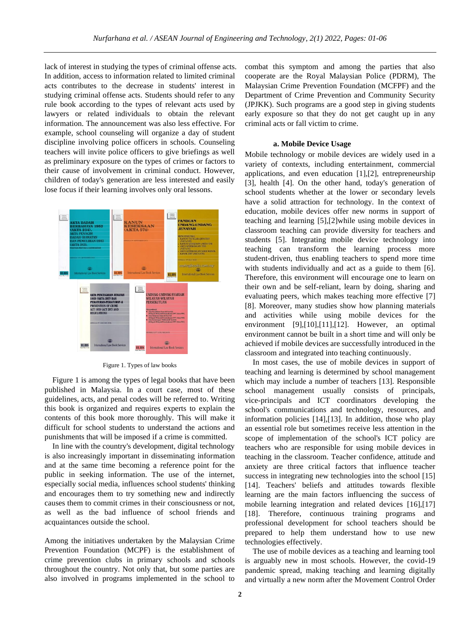lack of interest in studying the types of criminal offense acts. In addition, access to information related to limited criminal acts contributes to the decrease in students' interest in studying criminal offense acts. Students should refer to any rule book according to the types of relevant acts used by lawyers or related individuals to obtain the relevant information. The announcement was also less effective. For example, school counseling will organize a day of student discipline involving police officers in schools. Counseling teachers will invite police officers to give briefings as well as preliminary exposure on the types of crimes or factors to their cause of involvement in criminal conduct. However, children of today's generation are less interested and easily lose focus if their learning involves only oral lessons.



Figure 1. Types of law books

Figure 1 is among the types of legal books that have been published in Malaysia. In a court case, most of these guidelines, acts, and penal codes will be referred to. Writing this book is organized and requires experts to explain the contents of this book more thoroughly. This will make it difficult for school students to understand the actions and punishments that will be imposed if a crime is committed.

In line with the country's development, digital technology is also increasingly important in disseminating information and at the same time becoming a reference point for the public in seeking information. The use of the internet, especially social media, influences school students' thinking and encourages them to try something new and indirectly causes them to commit crimes in their consciousness or not, as well as the bad influence of school friends and acquaintances outside the school.

Among the initiatives undertaken by the Malaysian Crime Prevention Foundation (MCPF) is the establishment of crime prevention clubs in primary schools and schools throughout the country. Not only that, but some parties are also involved in programs implemented in the school to

combat this symptom and among the parties that also cooperate are the Royal Malaysian Police (PDRM), The Malaysian Crime Prevention Foundation (MCFPF) and the Department of Crime Prevention and Community Security (JPJKK). Such programs are a good step in giving students early exposure so that they do not get caught up in any criminal acts or fall victim to crime.

#### **a. Mobile Device Usage**

Mobile technology or mobile devices are widely used in a variety of contexts, including entertainment, commercial applications, and even education [1],[2], entrepreneurship [3], health [4]. On the other hand, today's generation of school students whether at the lower or secondary levels have a solid attraction for technology. In the context of education, mobile devices offer new norms in support of teaching and learning [5],[2]while using mobile devices in classroom teaching can provide diversity for teachers and students [5]. Integrating mobile device technology into teaching can transform the learning process more student-driven, thus enabling teachers to spend more time with students individually and act as a guide to them [6]. Therefore, this environment will encourage one to learn on their own and be self-reliant, learn by doing, sharing and evaluating peers, which makes teaching more effective [7] [8]. Moreover, many studies show how planning materials and activities while using mobile devices for the environment [9],[10],[11],[12]. However, an optimal environment cannot be built in a short time and will only be achieved if mobile devices are successfully introduced in the classroom and integrated into teaching continuously.

In most cases, the use of mobile devices in support of teaching and learning is determined by school management which may include a number of teachers [13]. Responsible school management usually consists of principals, vice-principals and ICT coordinators developing the school's communications and technology, resources, and information policies [14],[13]. In addition, those who play an essential role but sometimes receive less attention in the scope of implementation of the school's ICT policy are teachers who are responsible for using mobile devices in teaching in the classroom. Teacher confidence, attitude and anxiety are three critical factors that influence teacher success in integrating new technologies into the school [15] [14]. Teachers' beliefs and attitudes towards flexible learning are the main factors influencing the success of mobile learning integration and related devices [16],[17] [18]. Therefore, continuous training programs and professional development for school teachers should be prepared to help them understand how to use new technologies effectively.

The use of mobile devices as a teaching and learning tool is arguably new in most schools. However, the covid-19 pandemic spread, making teaching and learning digitally and virtually a new norm after the Movement Control Order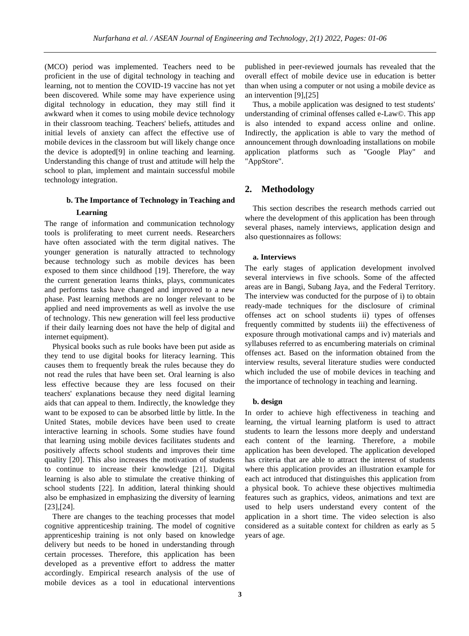(MCO) period was implemented. Teachers need to be proficient in the use of digital technology in teaching and learning, not to mention the COVID-19 vaccine has not yet been discovered. While some may have experience using digital technology in education, they may still find it awkward when it comes to using mobile device technology in their classroom teaching. Teachers' beliefs, attitudes and initial levels of anxiety can affect the effective use of mobile devices in the classroom but will likely change once the device is adopted[9] in online teaching and learning. Understanding this change of trust and attitude will help the school to plan, implement and maintain successful mobile technology integration.

## **b. The Importance of Technology in Teaching and Learning**

The range of information and communication technology tools is proliferating to meet current needs. Researchers have often associated with the term digital natives. The younger generation is naturally attracted to technology because technology such as mobile devices has been exposed to them since childhood [19]. Therefore, the way the current generation learns thinks, plays, communicates and performs tasks have changed and improved to a new phase. Past learning methods are no longer relevant to be applied and need improvements as well as involve the use of technology. This new generation will feel less productive if their daily learning does not have the help of digital and internet equipment).

Physical books such as rule books have been put aside as they tend to use digital books for literacy learning. This causes them to frequently break the rules because they do not read the rules that have been set. Oral learning is also less effective because they are less focused on their teachers' explanations because they need digital learning aids that can appeal to them. Indirectly, the knowledge they want to be exposed to can be absorbed little by little. In the United States, mobile devices have been used to create interactive learning in schools. Some studies have found that learning using mobile devices facilitates students and positively affects school students and improves their time quality [20]. This also increases the motivation of students to continue to increase their knowledge [21]. Digital learning is also able to stimulate the creative thinking of school students [22]. In addition, lateral thinking should also be emphasized in emphasizing the diversity of learning [23],[24].

There are changes to the teaching processes that model cognitive apprenticeship training. The model of cognitive apprenticeship training is not only based on knowledge delivery but needs to be honed in understanding through certain processes. Therefore, this application has been developed as a preventive effort to address the matter accordingly. Empirical research analysis of the use of mobile devices as a tool in educational interventions

published in peer-reviewed journals has revealed that the overall effect of mobile device use in education is better than when using a computer or not using a mobile device as an intervention [9],[25]

Thus, a mobile application was designed to test students' understanding of criminal offenses called e-Law©. This app is also intended to expand access online and online. Indirectly, the application is able to vary the method of announcement through downloading installations on mobile application platforms such as "Google Play" and "AppStore".

## **2. Methodology**

This section describes the research methods carried out where the development of this application has been through several phases, namely interviews, application design and also questionnaires as follows:

#### **a. Interviews**

The early stages of application development involved several interviews in five schools. Some of the affected areas are in Bangi, Subang Jaya, and the Federal Territory. The interview was conducted for the purpose of i) to obtain ready-made techniques for the disclosure of criminal offenses act on school students ii) types of offenses frequently committed by students iii) the effectiveness of exposure through motivational camps and iv) materials and syllabuses referred to as encumbering materials on criminal offenses act. Based on the information obtained from the interview results, several literature studies were conducted which included the use of mobile devices in teaching and the importance of technology in teaching and learning.

#### **b. design**

In order to achieve high effectiveness in teaching and learning, the virtual learning platform is used to attract students to learn the lessons more deeply and understand each content of the learning. Therefore, a mobile application has been developed. The application developed has criteria that are able to attract the interest of students where this application provides an illustration example for each act introduced that distinguishes this application from a physical book. To achieve these objectives multimedia features such as graphics, videos, animations and text are used to help users understand every content of the application in a short time. The video selection is also considered as a suitable context for children as early as 5 years of age.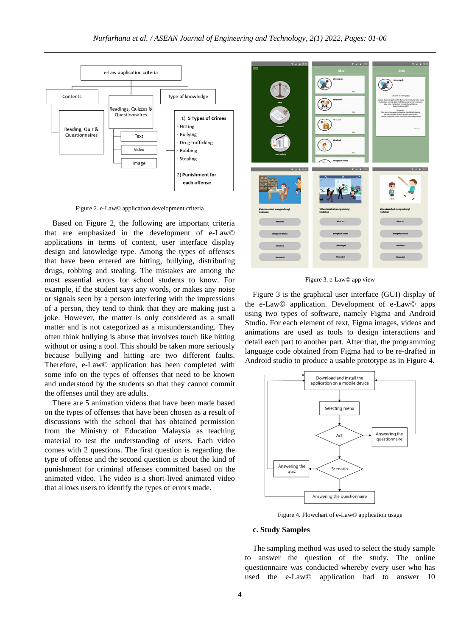

Figure 2. e-Law© application development criteria

Based on Figure 2, the following are important criteria that are emphasized in the development of e-Law© applications in terms of content, user interface display design and knowledge type. Among the types of offenses that have been entered are hitting, bullying, distributing drugs, robbing and stealing. The mistakes are among the most essential errors for school students to know. For example, if the student says any words, or makes any noise or signals seen by a person interfering with the impressions of a person, they tend to think that they are making just a joke. However, the matter is only considered as a small matter and is not categorized as a misunderstanding. They often think bullying is abuse that involves touch like hitting without or using a tool. This should be taken more seriously because bullying and hitting are two different faults. Therefore, e-Law© application has been completed with some info on the types of offenses that need to be known and understood by the students so that they cannot commit the offenses until they are adults.

There are 5 animation videos that have been made based on the types of offenses that have been chosen as a result of discussions with the school that has obtained permission from the Ministry of Education Malaysia as teaching material to test the understanding of users. Each video comes with 2 questions. The first question is regarding the type of offense and the second question is about the kind of punishment for criminal offenses committed based on the animated video. The video is a short-lived animated video that allows users to identify the types of errors made.



Figure 3. e-Law© app view

Figure 3 is the graphical user interface (GUI) display of the e-Law© application. Development of e-Law© apps using two types of software, namely Figma and Android Studio. For each element of text, Figma images, videos and animations are used as tools to design interactions and detail each part to another part. After that, the programming language code obtained from Figma had to be re-drafted in Android studio to produce a usable prototype as in Figure 4.



Figure 4. Flowchart of e-Law© application usage

#### **c. Study Samples**

The sampling method was used to select the study sample to answer the question of the study. The online questionnaire was conducted whereby every user who has used the e-Law© application had to answer 10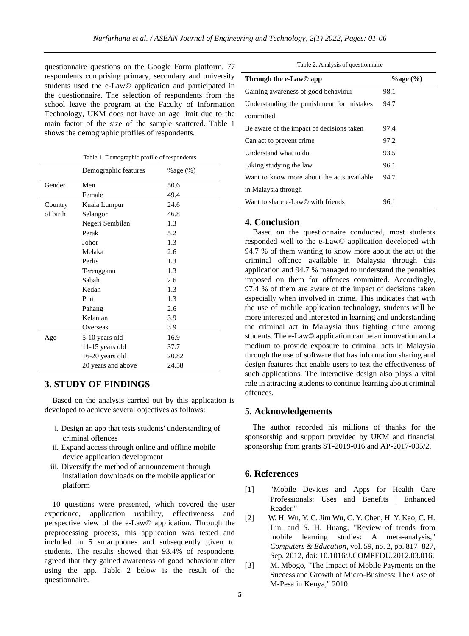questionnaire questions on the Google Form platform. 77 respondents comprising primary, secondary and university students used the e-Law© application and participated in the questionnaire. The selection of respondents from the school leave the program at the Faculty of Information Technology, UKM does not have an age limit due to the main factor of the size of the sample scattered. Table 1 shows the demographic profiles of respondents.

|          | Demographic features | $\%$ age $(\%)$ |
|----------|----------------------|-----------------|
| Gender   | Men                  | 50.6            |
|          | Female               | 49.4            |
| Country  | Kuala Lumpur         | 24.6            |
| of birth | Selangor             | 46.8            |
|          | Negeri Sembilan      | 1.3             |
|          | Perak                | 5.2             |
|          | Johor                | 1.3             |
|          | Melaka               | 2.6             |
|          | Perlis               | 1.3             |
|          | Terengganu           | 1.3             |
|          | Sabah                | 2.6             |
|          | Kedah                | 1.3             |
|          | Purt                 | 1.3             |
|          | Pahang               | 2.6             |
|          | Kelantan             | 3.9             |
|          | Overseas             | 3.9             |
| Age      | 5-10 years old       | 16.9            |
|          | 11-15 years old      | 37.7            |
|          | 16-20 years old      | 20.82           |
|          | 20 years and above   | 24.58           |

## **3. STUDY OF FINDINGS**

Based on the analysis carried out by this application is developed to achieve several objectives as follows:

- i. Design an app that tests students' understanding of criminal offences
- ii. Expand access through online and offline mobile device application development
- iii. Diversify the method of announcement through installation downloads on the mobile application platform

10 questions were presented, which covered the user experience, application usability, effectiveness and perspective view of the e-Law© application. Through the preprocessing process, this application was tested and included in 5 smartphones and subsequently given to students. The results showed that 93.4% of respondents agreed that they gained awareness of good behaviour after using the app. Table 2 below is the result of the questionnaire.

Table 2. Analysis of questionnaire

| Through the e-Law© app                     | $\%$ age $(\%)$ |
|--------------------------------------------|-----------------|
| Gaining awareness of good behaviour        | 98.1            |
| Understanding the punishment for mistakes  | 94.7            |
| committed                                  |                 |
| Be aware of the impact of decisions taken  | 97.4            |
| Can act to prevent crime.                  | 97.2            |
| Understand what to do                      | 93.5            |
| Liking studying the law                    | 96.1            |
| Want to know more about the acts available | 94.7            |
| in Malaysia through                        |                 |
| Want to share e-Law© with friends          | 96.1            |

#### **4. Conclusion**

Based on the questionnaire conducted, most students responded well to the e-Law© application developed with 94.7 % of them wanting to know more about the act of the criminal offence available in Malaysia through this application and 94.7 % managed to understand the penalties imposed on them for offences committed. Accordingly, 97.4 % of them are aware of the impact of decisions taken especially when involved in crime. This indicates that with the use of mobile application technology, students will be more interested and interested in learning and understanding the criminal act in Malaysia thus fighting crime among students. The e-Law© application can be an innovation and a medium to provide exposure to criminal acts in Malaysia through the use of software that has information sharing and design features that enable users to test the effectiveness of such applications. The interactive design also plays a vital role in attracting students to continue learning about criminal offences.

### **5. Acknowledgements**

The author recorded his millions of thanks for the sponsorship and support provided by UKM and financial sponsorship from grants ST-2019-016 and AP-2017-005/2.

## **6. References**

- [1] "Mobile Devices and Apps for Health Care Professionals: Uses and Benefits | Enhanced Reader."
- [2] W. H. Wu, Y. C. Jim Wu, C. Y. Chen, H. Y. Kao, C. H. Lin, and S. H. Huang, "Review of trends from mobile learning studies: A meta-analysis," *Computers & Education*, vol. 59, no. 2, pp. 817–827, Sep. 2012, doi: 10.1016/J.COMPEDU.2012.03.016.
- [3] M. Mbogo, "The Impact of Mobile Payments on the Success and Growth of Micro-Business: The Case of M-Pesa in Kenya," 2010.